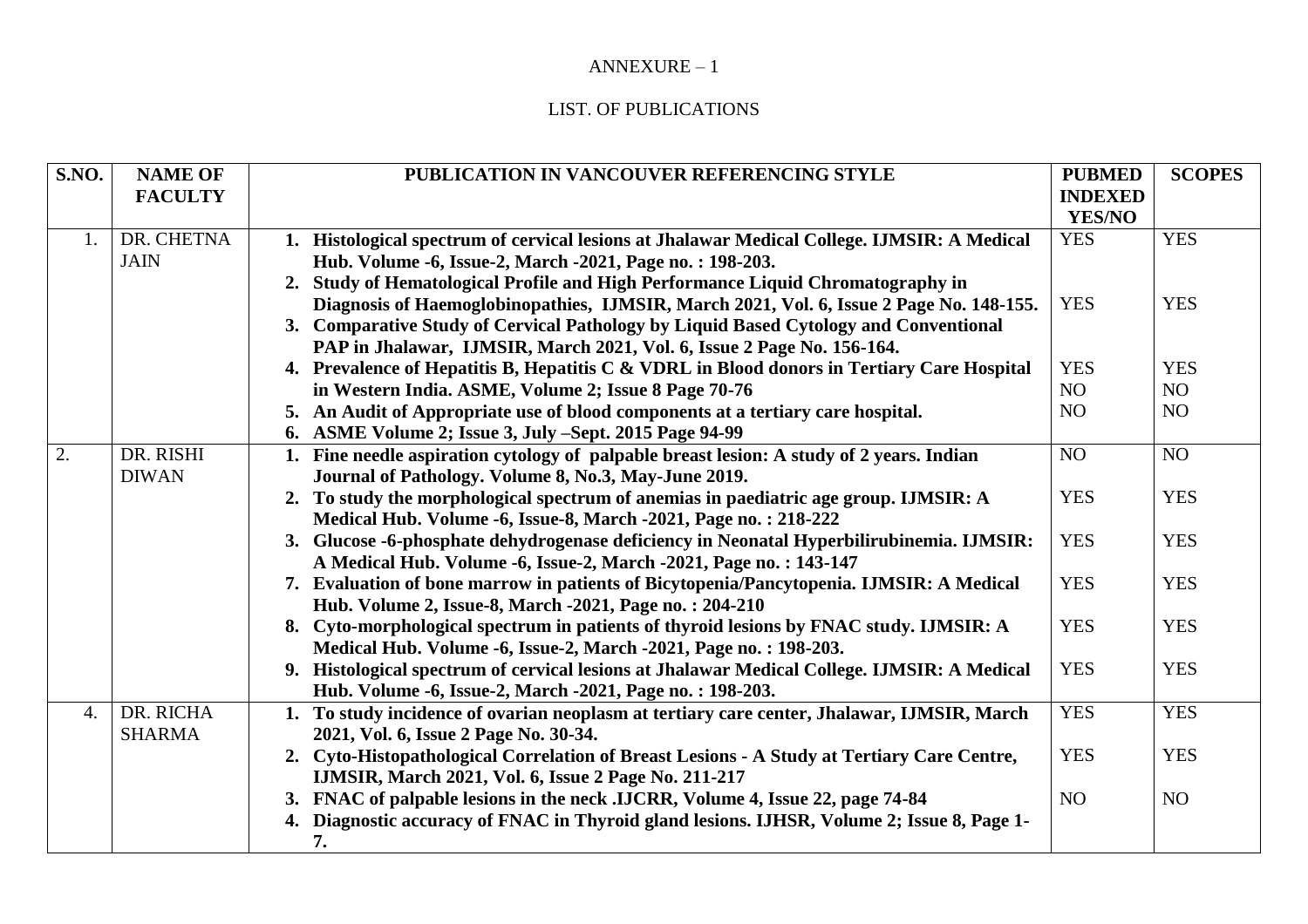## ANNEXURE – 1

## LIST. OF PUBLICATIONS

| S.NO. | <b>NAME OF</b> | PUBLICATION IN VANCOUVER REFERENCING STYLE                                                  | <b>PUBMED</b>  | <b>SCOPES</b>  |
|-------|----------------|---------------------------------------------------------------------------------------------|----------------|----------------|
|       | <b>FACULTY</b> |                                                                                             | <b>INDEXED</b> |                |
|       |                |                                                                                             | <b>YES/NO</b>  |                |
| 1.    | DR. CHETNA     | 1. Histological spectrum of cervical lesions at Jhalawar Medical College. IJMSIR: A Medical | <b>YES</b>     | <b>YES</b>     |
|       | <b>JAIN</b>    | Hub. Volume -6, Issue-2, March -2021, Page no.: 198-203.                                    |                |                |
|       |                | Study of Hematological Profile and High Performance Liquid Chromatography in<br>2.          |                |                |
|       |                | Diagnosis of Haemoglobinopathies, IJMSIR, March 2021, Vol. 6, Issue 2 Page No. 148-155.     | <b>YES</b>     | <b>YES</b>     |
|       |                | 3. Comparative Study of Cervical Pathology by Liquid Based Cytology and Conventional        |                |                |
|       |                | PAP in Jhalawar, IJMSIR, March 2021, Vol. 6, Issue 2 Page No. 156-164.                      |                |                |
|       |                | 4. Prevalence of Hepatitis B, Hepatitis C & VDRL in Blood donors in Tertiary Care Hospital  | <b>YES</b>     | <b>YES</b>     |
|       |                | in Western India. ASME, Volume 2; Issue 8 Page 70-76                                        | NO             | NO             |
|       |                | 5. An Audit of Appropriate use of blood components at a tertiary care hospital.             | NO             | NO             |
|       |                | 6. ASME Volume 2; Issue 3, July -Sept. 2015 Page 94-99                                      |                |                |
| 2.    | DR. RISHI      | 1. Fine needle aspiration cytology of palpable breast lesion: A study of 2 years. Indian    | NO             | N <sub>O</sub> |
|       | <b>DIWAN</b>   | Journal of Pathology. Volume 8, No.3, May-June 2019.                                        |                |                |
|       |                | 2. To study the morphological spectrum of anemias in paediatric age group. IJMSIR: A        | <b>YES</b>     | <b>YES</b>     |
|       |                | Medical Hub. Volume -6, Issue-8, March -2021, Page no.: 218-222                             |                |                |
|       |                | 3. Glucose -6-phosphate dehydrogenase deficiency in Neonatal Hyperbilirubinemia. IJMSIR:    | <b>YES</b>     | <b>YES</b>     |
|       |                | A Medical Hub. Volume -6, Issue-2, March -2021, Page no.: 143-147                           |                |                |
|       |                | 7. Evaluation of bone marrow in patients of Bicytopenia/Pancytopenia. IJMSIR: A Medical     | <b>YES</b>     | <b>YES</b>     |
|       |                | Hub. Volume 2, Issue-8, March -2021, Page no.: 204-210                                      |                |                |
|       |                | 8. Cyto-morphological spectrum in patients of thyroid lesions by FNAC study. IJMSIR: A      | <b>YES</b>     | <b>YES</b>     |
|       |                | Medical Hub. Volume -6, Issue-2, March -2021, Page no.: 198-203.                            |                |                |
|       |                | 9. Histological spectrum of cervical lesions at Jhalawar Medical College. IJMSIR: A Medical | <b>YES</b>     | <b>YES</b>     |
|       |                | Hub. Volume -6, Issue-2, March -2021, Page no.: 198-203.                                    |                |                |
| 4.    | DR. RICHA      | 1. To study incidence of ovarian neoplasm at tertiary care center, Jhalawar, IJMSIR, March  | <b>YES</b>     | <b>YES</b>     |
|       | <b>SHARMA</b>  | 2021, Vol. 6, Issue 2 Page No. 30-34.                                                       |                |                |
|       |                | 2. Cyto-Histopathological Correlation of Breast Lesions - A Study at Tertiary Care Centre,  | <b>YES</b>     | <b>YES</b>     |
|       |                | IJMSIR, March 2021, Vol. 6, Issue 2 Page No. 211-217                                        |                |                |
|       |                | 3. FNAC of palpable lesions in the neck .IJCRR, Volume 4, Issue 22, page 74-84              | NO             | NO.            |
|       |                | 4. Diagnostic accuracy of FNAC in Thyroid gland lesions. LJHSR, Volume 2; Issue 8, Page 1-  |                |                |
|       |                | 7.                                                                                          |                |                |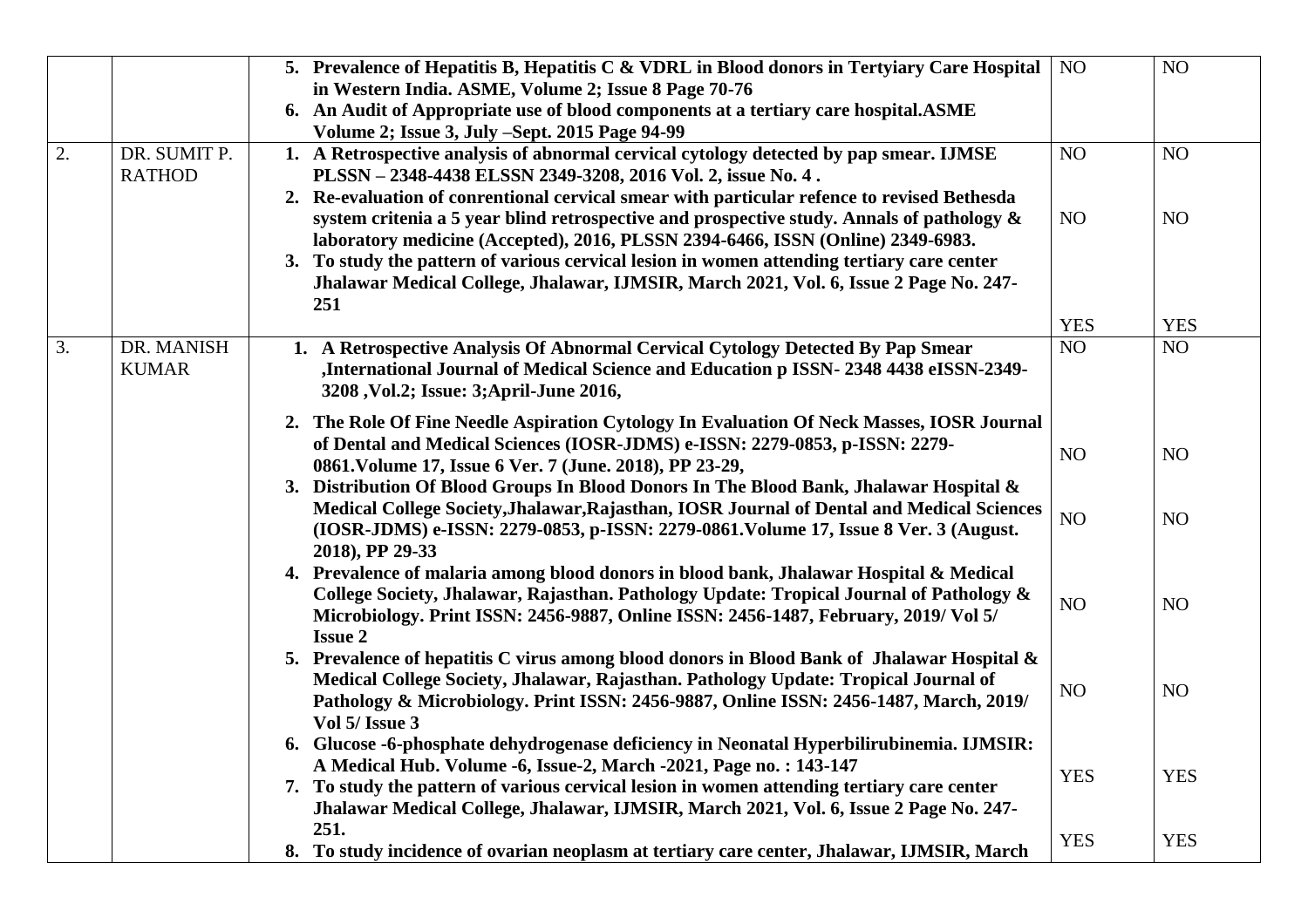|    |               | 5. Prevalence of Hepatitis B, Hepatitis C & VDRL in Blood donors in Tertyiary Care Hospital                                                                              | NO              | NO         |
|----|---------------|--------------------------------------------------------------------------------------------------------------------------------------------------------------------------|-----------------|------------|
|    |               | in Western India. ASME, Volume 2; Issue 8 Page 70-76                                                                                                                     |                 |            |
|    |               | 6. An Audit of Appropriate use of blood components at a tertiary care hospital. ASME                                                                                     |                 |            |
|    |               | Volume 2; Issue 3, July -Sept. 2015 Page 94-99                                                                                                                           |                 |            |
| 2. | DR. SUMIT P.  | 1. A Retrospective analysis of abnormal cervical cytology detected by pap smear. IJMSE                                                                                   | NO              | NO         |
|    | <b>RATHOD</b> | PLSSN - 2348-4438 ELSSN 2349-3208, 2016 Vol. 2, issue No. 4.                                                                                                             |                 |            |
|    |               | 2. Re-evaluation of conrentional cervical smear with particular refence to revised Bethesda                                                                              |                 |            |
|    |               | system critenia a 5 year blind retrospective and prospective study. Annals of pathology $\&$                                                                             | NO              | NO         |
|    |               | laboratory medicine (Accepted), 2016, PLSSN 2394-6466, ISSN (Online) 2349-6983.                                                                                          |                 |            |
|    |               | 3. To study the pattern of various cervical lesion in women attending tertiary care center                                                                               |                 |            |
|    |               | Jhalawar Medical College, Jhalawar, IJMSIR, March 2021, Vol. 6, Issue 2 Page No. 247-                                                                                    |                 |            |
|    |               | 251                                                                                                                                                                      |                 |            |
|    |               |                                                                                                                                                                          | <b>YES</b>      | <b>YES</b> |
| 3. | DR. MANISH    | 1. A Retrospective Analysis Of Abnormal Cervical Cytology Detected By Pap Smear                                                                                          | NO <sub>1</sub> | NO         |
|    | <b>KUMAR</b>  | ,International Journal of Medical Science and Education p ISSN-2348 4438 eISSN-2349-                                                                                     |                 |            |
|    |               | 3208, Vol.2; Issue: 3; April-June 2016,                                                                                                                                  |                 |            |
|    |               |                                                                                                                                                                          |                 |            |
|    |               | 2. The Role Of Fine Needle Aspiration Cytology In Evaluation Of Neck Masses, IOSR Journal<br>of Dental and Medical Sciences (IOSR-JDMS) e-ISSN: 2279-0853, p-ISSN: 2279- |                 |            |
|    |               | 0861. Volume 17, Issue 6 Ver. 7 (June. 2018), PP 23-29,                                                                                                                  | NO              | NO         |
|    |               | 3. Distribution Of Blood Groups In Blood Donors In The Blood Bank, Jhalawar Hospital &                                                                                   |                 |            |
|    |               | Medical College Society, Jhalawar, Rajasthan, IOSR Journal of Dental and Medical Sciences                                                                                |                 |            |
|    |               |                                                                                                                                                                          | NO              | NO         |
|    |               | (IOSR-JDMS) e-ISSN: 2279-0853, p-ISSN: 2279-0861. Volume 17, Issue 8 Ver. 3 (August.                                                                                     |                 |            |
|    |               | 2018), PP 29-33<br>4. Prevalence of malaria among blood donors in blood bank, Jhalawar Hospital & Medical                                                                |                 |            |
|    |               | College Society, Jhalawar, Rajasthan. Pathology Update: Tropical Journal of Pathology &                                                                                  |                 |            |
|    |               | Microbiology. Print ISSN: 2456-9887, Online ISSN: 2456-1487, February, 2019/ Vol 5/                                                                                      | NO              | NO         |
|    |               | <b>Issue 2</b>                                                                                                                                                           |                 |            |
|    |               | 5. Prevalence of hepatitis C virus among blood donors in Blood Bank of Jhalawar Hospital &                                                                               |                 |            |
|    |               | Medical College Society, Jhalawar, Rajasthan. Pathology Update: Tropical Journal of                                                                                      |                 |            |
|    |               | Pathology & Microbiology. Print ISSN: 2456-9887, Online ISSN: 2456-1487, March, 2019/                                                                                    | NO              | NO         |
|    |               | Vol 5/ Issue 3                                                                                                                                                           |                 |            |
|    |               | 6. Glucose -6-phosphate dehydrogenase deficiency in Neonatal Hyperbilirubinemia. IJMSIR:                                                                                 |                 |            |
|    |               | A Medical Hub. Volume -6, Issue-2, March -2021, Page no.: 143-147                                                                                                        |                 |            |
|    |               | 7. To study the pattern of various cervical lesion in women attending tertiary care center                                                                               | <b>YES</b>      | <b>YES</b> |
|    |               | Jhalawar Medical College, Jhalawar, IJMSIR, March 2021, Vol. 6, Issue 2 Page No. 247-                                                                                    |                 |            |
|    |               | 251.                                                                                                                                                                     |                 |            |
|    |               | 8. To study incidence of ovarian neoplasm at tertiary care center, Jhalawar, IJMSIR, March                                                                               | <b>YES</b>      | <b>YES</b> |
|    |               |                                                                                                                                                                          |                 |            |